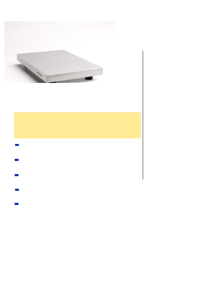## AMS series balance platforms

High Performance anti vibration platform for Balances



Sound deadened layer construction eliminates surface vibrations

.

The custom design and low natural frequency of the isolators built into this platform ensures that vibrations common in most laboratories are effectively removed, greatly increasing instrument performance. The seamless design and pharma grade stainless steel featured in the AMS series makes these platforms ideal for use laboratories and cleanrooms and in Medical and Biological enviroments.